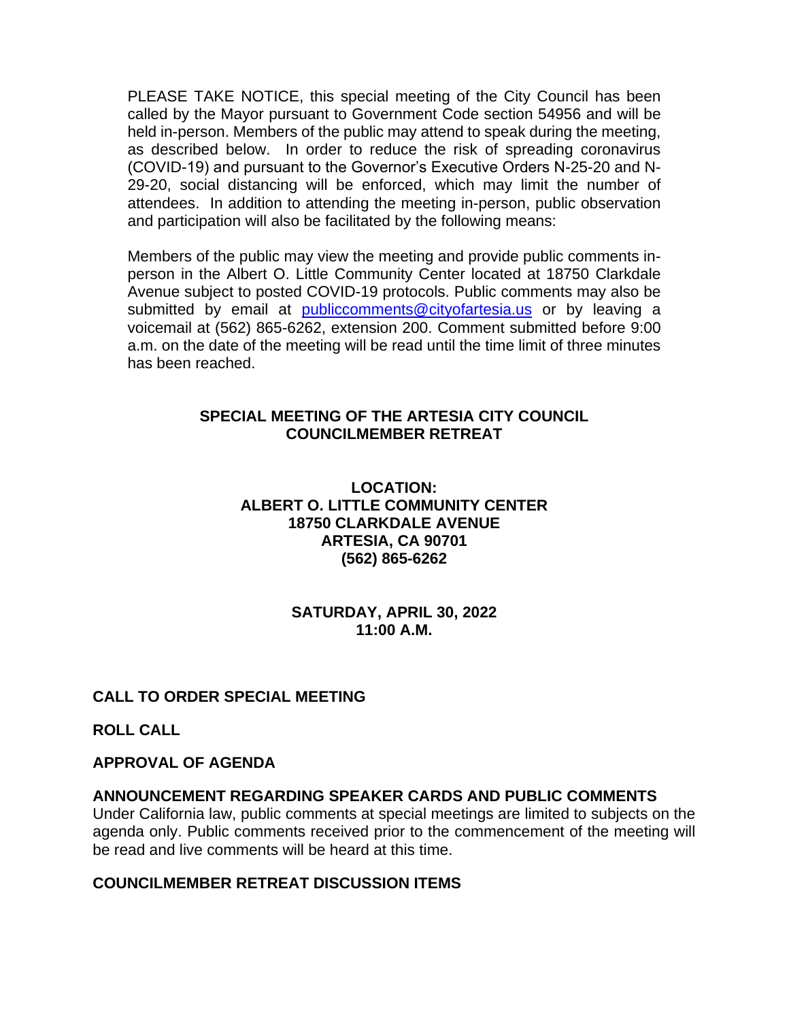PLEASE TAKE NOTICE, this special meeting of the City Council has been called by the Mayor pursuant to Government Code section 54956 and will be held in-person. Members of the public may attend to speak during the meeting, as described below. In order to reduce the risk of spreading coronavirus (COVID-19) and pursuant to the Governor's Executive Orders N-25-20 and N-29-20, social distancing will be enforced, which may limit the number of attendees. In addition to attending the meeting in-person, public observation and participation will also be facilitated by the following means:

Members of the public may view the meeting and provide public comments inperson in the Albert O. Little Community Center located at 18750 Clarkdale Avenue subject to posted COVID-19 protocols. Public comments may also be submitted by email at [publiccomments@cityofartesia.us](mailto:publiccomments@cityofartesia.us) or by leaving a voicemail at (562) 865-6262, extension 200. Comment submitted before 9:00 a.m. on the date of the meeting will be read until the time limit of three minutes has been reached.

### **SPECIAL MEETING OF THE ARTESIA CITY COUNCIL COUNCILMEMBER RETREAT**

### **LOCATION: ALBERT O. LITTLE COMMUNITY CENTER 18750 CLARKDALE AVENUE ARTESIA, CA 90701 (562) 865-6262**

#### **SATURDAY, APRIL 30, 2022 11:00 A.M.**

# **CALL TO ORDER SPECIAL MEETING**

**ROLL CALL** 

### **APPROVAL OF AGENDA**

### **ANNOUNCEMENT REGARDING SPEAKER CARDS AND PUBLIC COMMENTS**

Under California law, public comments at special meetings are limited to subjects on the agenda only. Public comments received prior to the commencement of the meeting will be read and live comments will be heard at this time.

### **COUNCILMEMBER RETREAT DISCUSSION ITEMS**